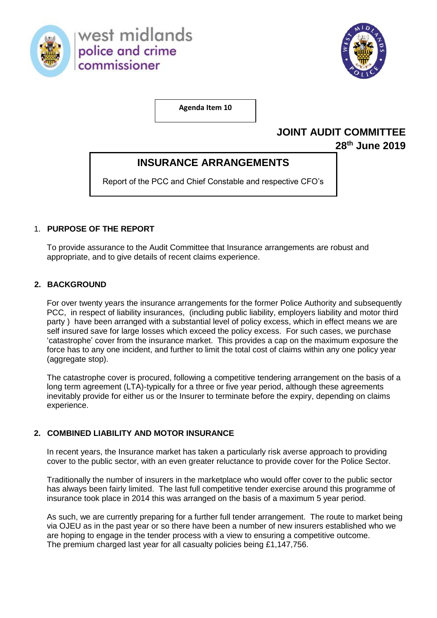

west midlands police and crime commissioner



**Agenda Item 10**

# **JOINT AUDIT COMMITTEE**

**28th June 2019** 

## **INSURANCE ARRANGEMENTS**

Report of the PCC and Chief Constable and respective CFO's

## 1. **PURPOSE OF THE REPORT**

To provide assurance to the Audit Committee that Insurance arrangements are robust and appropriate, and to give details of recent claims experience.

### **2. BACKGROUND**

For over twenty years the insurance arrangements for the former Police Authority and subsequently PCC, in respect of liability insurances, (including public liability, employers liability and motor third party ) have been arranged with a substantial level of policy excess, which in effect means we are self insured save for large losses which exceed the policy excess. For such cases, we purchase 'catastrophe' cover from the insurance market. This provides a cap on the maximum exposure the force has to any one incident, and further to limit the total cost of claims within any one policy year (aggregate stop).

The catastrophe cover is procured, following a competitive tendering arrangement on the basis of a long term agreement (LTA)-typically for a three or five year period, although these agreements inevitably provide for either us or the Insurer to terminate before the expiry, depending on claims experience.

## **2. COMBINED LIABILITY AND MOTOR INSURANCE**

In recent years, the Insurance market has taken a particularly risk averse approach to providing cover to the public sector, with an even greater reluctance to provide cover for the Police Sector.

Traditionally the number of insurers in the marketplace who would offer cover to the public sector has always been fairly limited. The last full competitive tender exercise around this programme of insurance took place in 2014 this was arranged on the basis of a maximum 5 year period.

As such, we are currently preparing for a further full tender arrangement. The route to market being via OJEU as in the past year or so there have been a number of new insurers established who we are hoping to engage in the tender process with a view to ensuring a competitive outcome. The premium charged last year for all casualty policies being £1,147,756.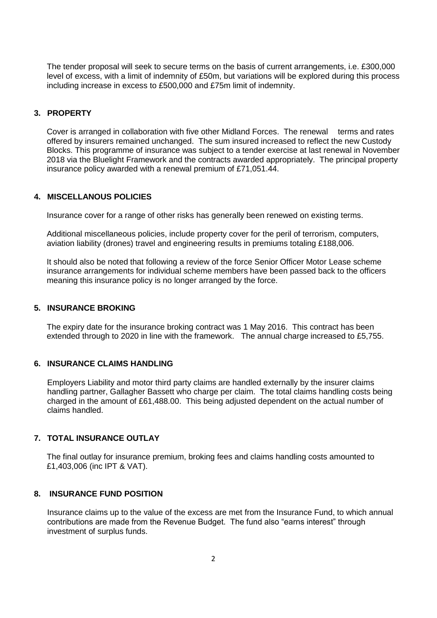The tender proposal will seek to secure terms on the basis of current arrangements, i.e. £300,000 level of excess, with a limit of indemnity of £50m, but variations will be explored during this process including increase in excess to £500,000 and £75m limit of indemnity.

#### **3. PROPERTY**

Cover is arranged in collaboration with five other Midland Forces. The renewal terms and rates offered by insurers remained unchanged. The sum insured increased to reflect the new Custody Blocks. This programme of insurance was subject to a tender exercise at last renewal in November 2018 via the Bluelight Framework and the contracts awarded appropriately. The principal property insurance policy awarded with a renewal premium of £71,051.44.

#### **4. MISCELLANOUS POLICIES**

Insurance cover for a range of other risks has generally been renewed on existing terms.

Additional miscellaneous policies, include property cover for the peril of terrorism, computers, aviation liability (drones) travel and engineering results in premiums totaling £188,006.

It should also be noted that following a review of the force Senior Officer Motor Lease scheme insurance arrangements for individual scheme members have been passed back to the officers meaning this insurance policy is no longer arranged by the force.

#### **5. INSURANCE BROKING**

The expiry date for the insurance broking contract was 1 May 2016. This contract has been extended through to 2020 in line with the framework. The annual charge increased to £5,755.

#### **6. INSURANCE CLAIMS HANDLING**

Employers Liability and motor third party claims are handled externally by the insurer claims handling partner, Gallagher Bassett who charge per claim. The total claims handling costs being charged in the amount of £61,488.00. This being adjusted dependent on the actual number of claims handled.

#### **7. TOTAL INSURANCE OUTLAY**

The final outlay for insurance premium, broking fees and claims handling costs amounted to £1,403,006 (inc IPT & VAT).

#### **8. INSURANCE FUND POSITION**

Insurance claims up to the value of the excess are met from the Insurance Fund, to which annual contributions are made from the Revenue Budget. The fund also "earns interest" through investment of surplus funds.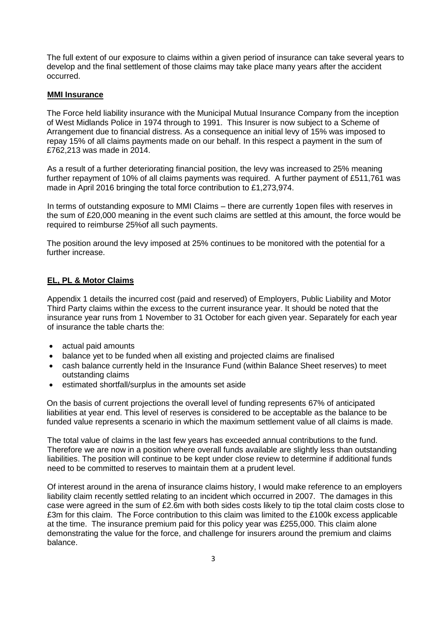The full extent of our exposure to claims within a given period of insurance can take several years to develop and the final settlement of those claims may take place many years after the accident occurred.

#### **MMI Insurance**

The Force held liability insurance with the Municipal Mutual Insurance Company from the inception of West Midlands Police in 1974 through to 1991. This Insurer is now subject to a Scheme of Arrangement due to financial distress. As a consequence an initial levy of 15% was imposed to repay 15% of all claims payments made on our behalf. In this respect a payment in the sum of £762,213 was made in 2014.

As a result of a further deteriorating financial position, the levy was increased to 25% meaning further repayment of 10% of all claims payments was required. A further payment of £511,761 was made in April 2016 bringing the total force contribution to £1,273,974.

In terms of outstanding exposure to MMI Claims – there are currently 1open files with reserves in the sum of £20,000 meaning in the event such claims are settled at this amount, the force would be required to reimburse 25%of all such payments.

The position around the levy imposed at 25% continues to be monitored with the potential for a further increase.

#### **EL, PL & Motor Claims**

Appendix 1 details the incurred cost (paid and reserved) of Employers, Public Liability and Motor Third Party claims within the excess to the current insurance year. It should be noted that the insurance year runs from 1 November to 31 October for each given year. Separately for each year of insurance the table charts the:

- actual paid amounts
- balance yet to be funded when all existing and projected claims are finalised
- cash balance currently held in the Insurance Fund (within Balance Sheet reserves) to meet outstanding claims
- estimated shortfall/surplus in the amounts set aside

On the basis of current projections the overall level of funding represents 67% of anticipated liabilities at year end. This level of reserves is considered to be acceptable as the balance to be funded value represents a scenario in which the maximum settlement value of all claims is made.

The total value of claims in the last few years has exceeded annual contributions to the fund. Therefore we are now in a position where overall funds available are slightly less than outstanding liabilities. The position will continue to be kept under close review to determine if additional funds need to be committed to reserves to maintain them at a prudent level.

Of interest around in the arena of insurance claims history, I would make reference to an employers liability claim recently settled relating to an incident which occurred in 2007. The damages in this case were agreed in the sum of £2.6m with both sides costs likely to tip the total claim costs close to £3m for this claim. The Force contribution to this claim was limited to the £100k excess applicable at the time. The insurance premium paid for this policy year was £255,000. This claim alone demonstrating the value for the force, and challenge for insurers around the premium and claims balance.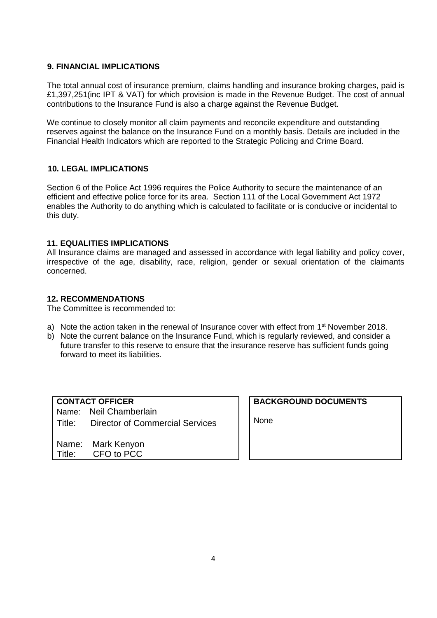#### **9. FINANCIAL IMPLICATIONS**

The total annual cost of insurance premium, claims handling and insurance broking charges, paid is £1,397,251(inc IPT & VAT) for which provision is made in the Revenue Budget. The cost of annual contributions to the Insurance Fund is also a charge against the Revenue Budget.

We continue to closely monitor all claim payments and reconcile expenditure and outstanding reserves against the balance on the Insurance Fund on a monthly basis. Details are included in the Financial Health Indicators which are reported to the Strategic Policing and Crime Board.

#### **10. LEGAL IMPLICATIONS**

Section 6 of the Police Act 1996 requires the Police Authority to secure the maintenance of an efficient and effective police force for its area. Section 111 of the Local Government Act 1972 enables the Authority to do anything which is calculated to facilitate or is conducive or incidental to this duty.

#### **11. EQUALITIES IMPLICATIONS**

All Insurance claims are managed and assessed in accordance with legal liability and policy cover, irrespective of the age, disability, race, religion, gender or sexual orientation of the claimants concerned.

#### **12. RECOMMENDATIONS**

The Committee is recommended to:

- a) Note the action taken in the renewal of Insurance cover with effect from  $1<sup>st</sup>$  November 2018.
- b) Note the current balance on the Insurance Fund, which is regularly reviewed, and consider a future transfer to this reserve to ensure that the insurance reserve has sufficient funds going forward to meet its liabilities.

## **CONTACT OFFICER CONTACT** Name: Neil Chamberlain Title: Director of Commercial Services

Name: Mark Kenyon Title: CFO to PCC

**BACKGROUND DOCUMENTS**

None